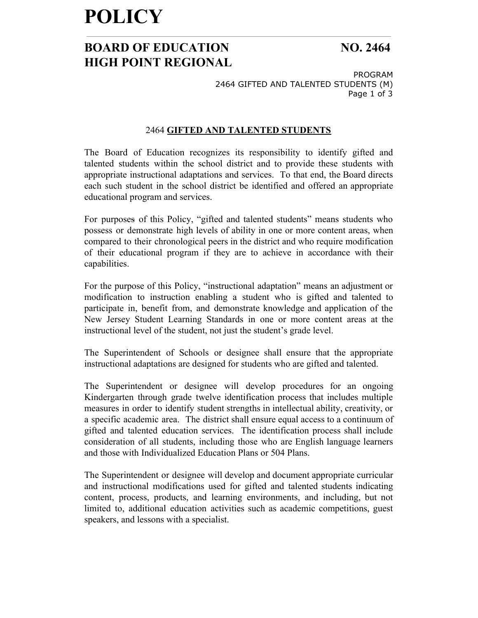## **POLICY**

## **BOARD OF EDUCATION NO. 2464 HIGH POINT REGIONAL**

PROGRAM 2464 GIFTED AND TALENTED STUDENTS (M) Page 1 of 3

### 2464 **GIFTED AND TALENTED STUDENTS**

The Board of Education recognizes its responsibility to identify gifted and talented students within the school district and to provide these students with appropriate instructional adaptations and services. To that end, the Board directs each such student in the school district be identified and offered an appropriate educational program and services.

For purposes of this Policy, "gifted and talented students" means students who possess or demonstrate high levels of ability in one or more content areas, when compared to their chronological peers in the district and who require modification of their educational program if they are to achieve in accordance with their capabilities.

For the purpose of this Policy, "instructional adaptation" means an adjustment or modification to instruction enabling a student who is gifted and talented to participate in, benefit from, and demonstrate knowledge and application of the New Jersey Student Learning Standards in one or more content areas at the instructional level of the student, not just the student's grade level.

The Superintendent of Schools or designee shall ensure that the appropriate instructional adaptations are designed for students who are gifted and talented.

The Superintendent or designee will develop procedures for an ongoing Kindergarten through grade twelve identification process that includes multiple measures in order to identify student strengths in intellectual ability, creativity, or a specific academic area. The district shall ensure equal access to a continuum of gifted and talented education services. The identification process shall include consideration of all students, including those who are English language learners and those with Individualized Education Plans or 504 Plans.

The Superintendent or designee will develop and document appropriate curricular and instructional modifications used for gifted and talented students indicating content, process, products, and learning environments, and including, but not limited to, additional education activities such as academic competitions, guest speakers, and lessons with a specialist.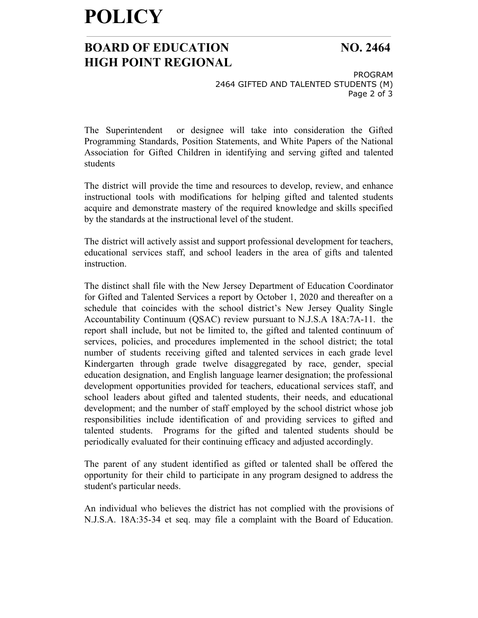# **POLICY**

### **BOARD OF EDUCATION NO. 2464 HIGH POINT REGIONAL**

PROGRAM 2464 GIFTED AND TALENTED STUDENTS (M) Page 2 of 3

The Superintendent or designee will take into consideration the Gifted Programming Standards, Position Statements, and White Papers of the National Association for Gifted Children in identifying and serving gifted and talented students

The district will provide the time and resources to develop, review, and enhance instructional tools with modifications for helping gifted and talented students acquire and demonstrate mastery of the required knowledge and skills specified by the standards at the instructional level of the student.

The district will actively assist and support professional development for teachers, educational services staff, and school leaders in the area of gifts and talented instruction.

The distinct shall file with the New Jersey Department of Education Coordinator for Gifted and Talented Services a report by October 1, 2020 and thereafter on a schedule that coincides with the school district's New Jersey Quality Single Accountability Continuum (QSAC) review pursuant to N.J.S.A 18A:7A-11. the report shall include, but not be limited to, the gifted and talented continuum of services, policies, and procedures implemented in the school district; the total number of students receiving gifted and talented services in each grade level Kindergarten through grade twelve disaggregated by race, gender, special education designation, and English language learner designation; the professional development opportunities provided for teachers, educational services staff, and school leaders about gifted and talented students, their needs, and educational development; and the number of staff employed by the school district whose job responsibilities include identification of and providing services to gifted and talented students. Programs for the gifted and talented students should be periodically evaluated for their continuing efficacy and adjusted accordingly.

The parent of any student identified as gifted or talented shall be offered the opportunity for their child to participate in any program designed to address the student's particular needs.

An individual who believes the district has not complied with the provisions of N.J.S.A. 18A:35-34 et seq. may file a complaint with the Board of Education.